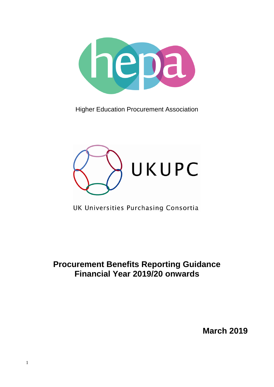

Higher Education Procurement Association



UK Universities Purchasing Consortia

**Procurement Benefits Reporting Guidance Financial Year 2019/20 onwards**

**March 2019**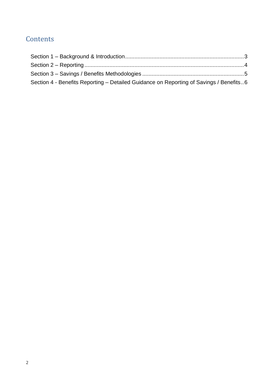### **Contents**

| Section 4 - Benefits Reporting – Detailed Guidance on Reporting of Savings / Benefits6 |  |
|----------------------------------------------------------------------------------------|--|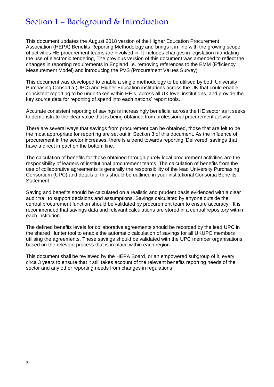### <span id="page-2-0"></span>Section 1 – Background & Introduction

This document updates the August 2018 version of the Higher Education Procurement Association (HEPA) Benefits Reporting Methodology and brings it in line with the growing scope of activities HE procurement teams are involved in. It includes changes in legislation mandating the use of electronic tendering, The previous version of this document was amended to reflect the changes in reporting requirements in England i.e. removing references to the EMM (Efficiency Measurement Model) and introducing the PVS (Procurement Values Survey)

This document was developed to enable a single methodology to be utilised by both University Purchasing Consortia (UPC) and Higher Education institutions across the UK that could enable consistent reporting to be undertaken within HEIs, across all UK level institutions, and provide the key source data for reporting of spend into each nations' report tools.

Accurate consistent reporting of savings is increasingly beneficial across the HE sector as it seeks to demonstrate the clear value that is being obtained from professional procurement activity.

There are several ways that savings from procurement can be obtained, those that are felt to be the most appropriate for reporting are set out in Section 3 of this document. As the influence of procurement in the sector increases, there is a trend towards reporting 'Delivered' savings that have a direct impact on the bottom line.

The calculation of benefits for those obtained through purely local procurement activities are the responsibility of leaders of institutional procurement teams. The calculation of benefits from the use of collaborative agreements is generally the responsibility of the lead University Purchasing Consortium (UPC) and details of this should be outlined in your institutional Consortia Benefits Statement.

Saving and benefits should be calculated on a realistic and prudent basis evidenced with a clear audit trail to support decisions and assumptions. Savings calculated by anyone outside the central procurement function should be validated by procurement team to ensure accuracy. It is recommended that savings data and relevant calculations are stored in a central repository within each institution.

The defined benefits levels for collaborative agreements should be recorded by the lead UPC in the shared Hunter tool to enable the automatic calculation of savings for all UKUPC members utilising the agreements. These savings should be validated with the UPC member organisations based on the relevant process that is in place within each region.

This document shall be reviewed by the HEPA Board, or an empowered subgroup of it, every circa 3 years to ensure that it still takes account of the relevant benefits reporting needs of the sector and any other reporting needs from changes in regulations.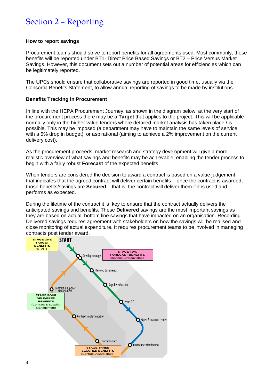## <span id="page-3-0"></span>Section 2 – Reporting

#### **How to report savings**

Procurement teams should strive to report benefits for all agreements used. Most commonly, these benefits will be reported under BT1- Direct Price Based Savings or BT2 – Price Versus Market Savings. However, this document sets out a number of potential areas for efficiencies which can be legitimately reported.

The UPCs should ensure that collaborative savings are reported in good time, usually via the Consortia Benefits Statement, to allow annual reporting of savings to be made by institutions.

#### **Benefits Tracking in Procurement**

In line with the HEPA Procurement Journey, as shown in the diagram below, at the very start of the procurement process there may be a **Target** that applies to the project. This will be applicable normally only in the higher value tenders where detailed market analysis has taken place / is possible. This may be imposed (a department may have to maintain the same levels of service with a 5% drop in budget), or aspirational (aiming to achieve a 2% improvement on the current delivery cost).

As the procurement proceeds, market research and strategy development will give a more realistic overview of what savings and benefits may be achievable, enabling the tender process to begin with a fairly robust **Forecast** of the expected benefits.

When tenders are considered the decision to award a contract is based on a value judgement that indicates that the agreed contract will deliver certain benefits – once the contract is awarded, those benefits/savings are **Secured** – that is, the contract will deliver them if it is used and performs as expected.

During the lifetime of the contract it is key to ensure that the contract actually delivers the anticipated savings and benefits. These **Delivered** savings are the most important savings as they are based on actual, bottom line savings that have impacted on an organisation. Recording Delivered savings requires agreement with stakeholders on how the savings will be realised and close monitoring of actual expenditure. It requires procurement teams to be involved in managing contracts post tender award.

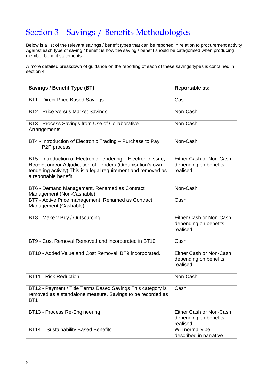## <span id="page-4-0"></span>Section 3 – Savings / Benefits Methodologies

Below is a list of the relevant savings / benefit types that can be reported in relation to procurement activity. Against each type of saving / benefit is how the saving / benefit should be categorised when producing member benefit statements.

A more detailed breakdown of guidance on the reporting of each of these savings types is contained in section 4.

| <b>Savings / Benefit Type (BT)</b>                                                                                                                                                                                     | Reportable as:                                                |
|------------------------------------------------------------------------------------------------------------------------------------------------------------------------------------------------------------------------|---------------------------------------------------------------|
| BT1 - Direct Price Based Savings                                                                                                                                                                                       | Cash                                                          |
| BT2 - Price Versus Market Savings                                                                                                                                                                                      | Non-Cash                                                      |
| BT3 - Process Savings from Use of Collaborative<br>Arrangements                                                                                                                                                        | Non-Cash                                                      |
| BT4 - Introduction of Electronic Trading - Purchase to Pay<br>P2P process                                                                                                                                              | Non-Cash                                                      |
| BT5 - Introduction of Electronic Tendering - Electronic Issue,<br>Receipt and/or Adjudication of Tenders (Organisation's own<br>tendering activity) This is a legal requirement and removed as<br>a reportable benefit | Either Cash or Non-Cash<br>depending on benefits<br>realised. |
| BT6 - Demand Management. Renamed as Contract<br>Management (Non-Cashable)                                                                                                                                              | Non-Cash                                                      |
| BT7 - Active Price management. Renamed as Contract<br>Management (Cashable)                                                                                                                                            | Cash                                                          |
| BT8 - Make v Buy / Outsourcing                                                                                                                                                                                         | Either Cash or Non-Cash<br>depending on benefits<br>realised. |
| BT9 - Cost Removal Removed and incorporated in BT10                                                                                                                                                                    | Cash                                                          |
| BT10 - Added Value and Cost Removal. BT9 incorporated.                                                                                                                                                                 | Either Cash or Non-Cash<br>depending on benefits<br>realised. |
| <b>BT11 - Risk Reduction</b>                                                                                                                                                                                           | Non-Cash                                                      |
| BT12 - Payment / Title Terms Based Savings This category is<br>removed as a standalone measure. Savings to be recorded as<br>BT <sub>1</sub>                                                                           | Cash                                                          |
| BT13 - Process Re-Engineering                                                                                                                                                                                          | Either Cash or Non-Cash<br>depending on benefits<br>realised. |
| BT14 - Sustainability Based Benefits                                                                                                                                                                                   | Will normally be<br>described in narrative                    |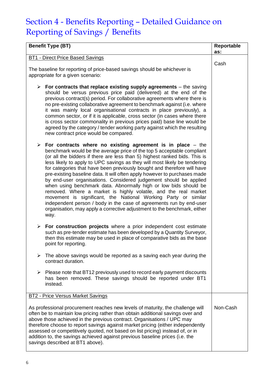# <span id="page-5-0"></span>Section 4 - Benefits Reporting – Detailed Guidance on Reporting of Savings / Benefits

| <b>Benefit Type (BT)</b>                                                                                                                                                                                                                                                                                                                                                                                                                                                                                                                                                                                                                                                                                                                                                                                                                                                                                 | Reportable<br>as: |
|----------------------------------------------------------------------------------------------------------------------------------------------------------------------------------------------------------------------------------------------------------------------------------------------------------------------------------------------------------------------------------------------------------------------------------------------------------------------------------------------------------------------------------------------------------------------------------------------------------------------------------------------------------------------------------------------------------------------------------------------------------------------------------------------------------------------------------------------------------------------------------------------------------|-------------------|
| BT1 - Direct Price Based Savings                                                                                                                                                                                                                                                                                                                                                                                                                                                                                                                                                                                                                                                                                                                                                                                                                                                                         |                   |
| The baseline for reporting of price-based savings should be whichever is<br>appropriate for a given scenario:                                                                                                                                                                                                                                                                                                                                                                                                                                                                                                                                                                                                                                                                                                                                                                                            | Cash              |
| $\triangleright$ For contracts that replace existing supply agreements – the saving<br>should be versus previous price paid (delivered) at the end of the<br>previous contract(s) period. For collaborative agreements where there is<br>no pre-existing collaborative agreement to benchmark against (i.e. where<br>it was mainly local organisational contracts in place previously), a<br>common sector, or if it is applicable, cross sector (in cases where there<br>is cross sector commonality in previous prices paid) base line would be<br>agreed by the category / tender working party against which the resulting<br>new contract price would be compared.                                                                                                                                                                                                                                  |                   |
| For contracts where no existing agreement is in place $-$ the<br>➤<br>benchmark would be the average price of the top 5 acceptable compliant<br>(or all the bidders if there are less than 5) highest ranked bids. This is<br>less likely to apply to UPC savings as they will most likely be tendering<br>for categories that have been previously bought and therefore will have<br>pre-existing baseline data. It will often apply however to purchases made<br>by end-user organisations. Considered judgement should be applied<br>when using benchmark data. Abnormally high or low bids should be<br>removed. Where a market is highly volatile, and the real market<br>movement is significant, the National Working Party or similar<br>independent person / body in the case of agreements run by end-user<br>organisation, may apply a corrective adjustment to the benchmark, either<br>way. |                   |
| For construction projects where a prior independent cost estimate<br>➤<br>such as pre-tender estimate has been developed by a Quantity Surveyor,<br>then this estimate may be used in place of comparative bids as the base<br>point for reporting.                                                                                                                                                                                                                                                                                                                                                                                                                                                                                                                                                                                                                                                      |                   |
| The above savings would be reported as a saving each year during the<br>≻<br>contract duration.                                                                                                                                                                                                                                                                                                                                                                                                                                                                                                                                                                                                                                                                                                                                                                                                          |                   |
| Please note that BT12 previously used to record early payment discounts<br>➤<br>has been removed. These savings should be reported under BT1<br>instead.                                                                                                                                                                                                                                                                                                                                                                                                                                                                                                                                                                                                                                                                                                                                                 |                   |
| <b>BT2 - Price Versus Market Savings</b>                                                                                                                                                                                                                                                                                                                                                                                                                                                                                                                                                                                                                                                                                                                                                                                                                                                                 |                   |
| As professional procurement reaches new levels of maturity, the challenge will<br>often be to maintain low pricing rather than obtain additional savings over and<br>above those achieved in the previous contract. Organisations / UPC may<br>therefore choose to report savings against market pricing (either independently<br>assessed or competitively quoted, not based on list pricing) instead of, or in<br>addition to, the savings achieved against previous baseline prices (i.e. the<br>savings described at BT1 above).                                                                                                                                                                                                                                                                                                                                                                     | Non-Cash          |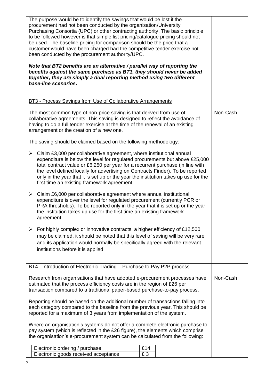| The purpose would be to identify the savings that would be lost if the<br>procurement had not been conducted by the organisation/University<br>Purchasing Consortia (UPC) or other contracting authority. The basic principle<br>to be followed however is that simple list pricing/catalogue pricing should not<br>be used. The baseline pricing for comparison should be the price that a<br>customer would have been charged had the competitive tender exercise not<br>been conducted by the procurement authority/UPC.<br>Note that BT2 benefits are an alternative / parallel way of reporting the<br>benefits against the same purchase as BT1, they should never be added<br>together, they are simply a dual reporting method using two different<br>base-line scenarios. |          |
|------------------------------------------------------------------------------------------------------------------------------------------------------------------------------------------------------------------------------------------------------------------------------------------------------------------------------------------------------------------------------------------------------------------------------------------------------------------------------------------------------------------------------------------------------------------------------------------------------------------------------------------------------------------------------------------------------------------------------------------------------------------------------------|----------|
| <b>BT3 - Process Savings from Use of Collaborative Arrangements</b>                                                                                                                                                                                                                                                                                                                                                                                                                                                                                                                                                                                                                                                                                                                |          |
| The most common type of non-price saving is that derived from use of<br>collaborative agreements. This saving is designed to reflect the avoidance of<br>having to do a full tender exercise at the time of the renewal of an existing<br>arrangement or the creation of a new one.                                                                                                                                                                                                                                                                                                                                                                                                                                                                                                | Non-Cash |
| The saving should be claimed based on the following methodology:                                                                                                                                                                                                                                                                                                                                                                                                                                                                                                                                                                                                                                                                                                                   |          |
| Claim £3,000 per collaborative agreement, where institutional annual<br>$\blacktriangleright$<br>expenditure is below the level for regulated procurements but above £25,000<br>total contract value or £6,250 per year for a recurrent purchase (in line with<br>the level defined locally for advertising on Contracts Finder). To be reported<br>only in the year that it is set up or the year the institution takes up use for the<br>first time an existing framework agreement.                                                                                                                                                                                                                                                                                             |          |
| $\blacktriangleright$<br>Claim £6,000 per collaborative agreement where annual institutional<br>expenditure is over the level for regulated procurement (currently PCR or<br>PRA thresholds). To be reported only in the year that it is set up or the year<br>the institution takes up use for the first time an existing framework<br>agreement.                                                                                                                                                                                                                                                                                                                                                                                                                                 |          |
| For highly complex or innovative contracts, a higher efficiency of £12,500<br>➤                                                                                                                                                                                                                                                                                                                                                                                                                                                                                                                                                                                                                                                                                                    |          |
| may be claimed, it should be noted that this level of saving will be very rare<br>and its application would normally be specifically agreed with the relevant<br>institutions before it is applied.                                                                                                                                                                                                                                                                                                                                                                                                                                                                                                                                                                                |          |
| BT4 - Introduction of Electronic Trading - Purchase to Pay P2P process                                                                                                                                                                                                                                                                                                                                                                                                                                                                                                                                                                                                                                                                                                             |          |
| Research from organisations that have adopted e-procurement processes have<br>estimated that the process efficiency costs are in the region of £26 per<br>transaction compared to a traditional paper-based purchase-to-pay process.                                                                                                                                                                                                                                                                                                                                                                                                                                                                                                                                               | Non-Cash |
| Reporting should be based on the additional number of transactions falling into<br>each category compared to the baseline from the previous year. This should be<br>reported for a maximum of 3 years from implementation of the system.                                                                                                                                                                                                                                                                                                                                                                                                                                                                                                                                           |          |
| Where an organisation's systems do not offer a complete electronic purchase to<br>pay system (which is reflected in the £26 figure), the elements which comprise<br>the organisation's e-procurement system can be calculated from the following:                                                                                                                                                                                                                                                                                                                                                                                                                                                                                                                                  |          |
| Electronic ordering / purchase<br>£14<br>£3<br>Electronic goods received acceptance                                                                                                                                                                                                                                                                                                                                                                                                                                                                                                                                                                                                                                                                                                |          |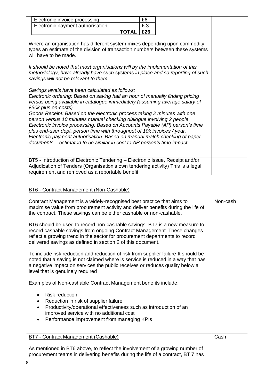| Electronic invoice processing                                                                                                                                                                                                                                                                                                                                                                                                                                                                                                                                                                                                                                                                                                                                                                                                                                                                                                                                                                                                                                                                                                                                                                    | £6  |  |
|--------------------------------------------------------------------------------------------------------------------------------------------------------------------------------------------------------------------------------------------------------------------------------------------------------------------------------------------------------------------------------------------------------------------------------------------------------------------------------------------------------------------------------------------------------------------------------------------------------------------------------------------------------------------------------------------------------------------------------------------------------------------------------------------------------------------------------------------------------------------------------------------------------------------------------------------------------------------------------------------------------------------------------------------------------------------------------------------------------------------------------------------------------------------------------------------------|-----|--|
| Electronic payment authorisation                                                                                                                                                                                                                                                                                                                                                                                                                                                                                                                                                                                                                                                                                                                                                                                                                                                                                                                                                                                                                                                                                                                                                                 | £3  |  |
| <b>TOTAL</b>                                                                                                                                                                                                                                                                                                                                                                                                                                                                                                                                                                                                                                                                                                                                                                                                                                                                                                                                                                                                                                                                                                                                                                                     | £26 |  |
| Where an organisation has different system mixes depending upon commodity<br>types an estimate of the division of transaction numbers between these systems<br>will have to be made.<br>It should be noted that most organisations will by the implementation of this<br>methodology, have already have such systems in place and so reporting of such<br>savings will not be relevant to them.<br>Savings levels have been calculated as follows:<br>Electronic ordering: Based on saving half an hour of manually finding pricing<br>versus being available in catalogue immediately (assuming average salary of<br>£30k plus on-costs)<br>Goods Receipt: Based on the electronic process taking 2 minutes with one<br>person versus 10 minutes manual checking dialogue involving 2 people<br>Electronic invoice processing: Based on Accounts Payable (AP) person's time<br>plus end-user dept. person time with throughput of 10k invoices / year.<br>Electronic payment authorisation: Based on manual match checking of paper<br>documents – estimated to be similar in cost to AP person's time impact.<br>BT5 - Introduction of Electronic Tendering - Electronic Issue, Receipt and/or |     |  |
| Adjudication of Tenders (Organisation's own tendering activity) This is a legal                                                                                                                                                                                                                                                                                                                                                                                                                                                                                                                                                                                                                                                                                                                                                                                                                                                                                                                                                                                                                                                                                                                  |     |  |
| requirement and removed as a reportable benefit                                                                                                                                                                                                                                                                                                                                                                                                                                                                                                                                                                                                                                                                                                                                                                                                                                                                                                                                                                                                                                                                                                                                                  |     |  |

| BT6 - Contract Management (Non-Cashable)                                                                                                                                                                                                                                                            |          |
|-----------------------------------------------------------------------------------------------------------------------------------------------------------------------------------------------------------------------------------------------------------------------------------------------------|----------|
| Contract Management is a widely-recognised best practice that aims to<br>maximise value from procurement activity and deliver benefits during the life of<br>the contract. These savings can be either cashable or non-cashable.                                                                    | Non-cash |
| BT6 should be used to record non-cashable savings. BT7 is a new measure to<br>record cashable savings from ongoing Contract Management. These changes<br>reflect a growing trend in the sector for procurement departments to record<br>delivered savings as defined in section 2 of this document. |          |
| To include risk reduction and reduction of risk from supplier failure It should be<br>noted that a saving is not claimed where is service is reduced in a way that has<br>a negative impact on services the public receives or reduces quality below a<br>level that is genuinely required          |          |
| Examples of Non-cashable Contract Management benefits include:                                                                                                                                                                                                                                      |          |
| <b>Risk reduction</b><br>$\bullet$<br>Reduction in risk of supplier failure<br>٠<br>Productivity/operational effectiveness such as introduction of an<br>$\bullet$<br>improved service with no additional cost<br>Performance improvement from managing KPIs<br>$\bullet$                           |          |
| <b>BT7 - Contract Management (Cashable)</b>                                                                                                                                                                                                                                                         | Cash     |
| As mentioned in BT6 above, to reflect the involvement of a growing number of<br>procurement teams in delivering benefits during the life of a contract, BT 7 has                                                                                                                                    |          |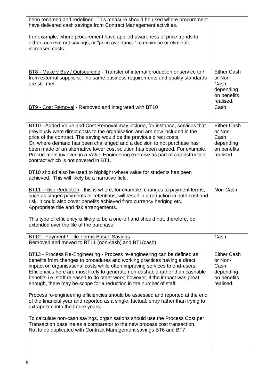| been renamed and redefined. This measure should be used where procurement<br>have delivered cash savings from Contract Management activities.<br>For example, where procurement have applied awareness of price trends to<br>either, achieve net savings, or "price avoidance" to minimise or eliminate<br>increased costs.                                                                                                                                                                                                  |                                                                                |
|------------------------------------------------------------------------------------------------------------------------------------------------------------------------------------------------------------------------------------------------------------------------------------------------------------------------------------------------------------------------------------------------------------------------------------------------------------------------------------------------------------------------------|--------------------------------------------------------------------------------|
| BT8 - Make v Buy / Outsourcing - Transfer of internal production or service to /                                                                                                                                                                                                                                                                                                                                                                                                                                             | <b>Either Cash</b>                                                             |
| from external suppliers. The same business requirements and quality standards<br>are still met.                                                                                                                                                                                                                                                                                                                                                                                                                              | or Non-<br>Cash<br>depending<br>on benefits<br>realised.                       |
| BT9 - Cost Removal - Removed and integrated with BT10                                                                                                                                                                                                                                                                                                                                                                                                                                                                        | Cash                                                                           |
| BT10 - Added Value and Cost Removal may include, for instance, services that<br>previously were direct costs to the organisation and are now included in the<br>price of the contract. The saving would be the previous direct costs.<br>Or, where demand has been challenged and a decision to not purchase has<br>been made or an alternative lower cost solution has been agreed. For example,<br>Procurement involved in a Value Engineering exercise as part of a construction<br>contract which is not covered in BT1. | Either Cash<br>or Non-<br>Cash<br>depending<br>on benefits<br>realised.        |
| BT10 should also be used to highlight where value for students has been<br>achieved. This will likely be a narrative field.                                                                                                                                                                                                                                                                                                                                                                                                  |                                                                                |
| <b>BT11 - Risk Reduction - this is where, for example, changes to payment terms,</b><br>such as staged payments or retentions, will result in a reduction in both cost and<br>risk. It could also cover benefits achieved from currency hedging etc.<br>Appropriate title and risk arrangements.                                                                                                                                                                                                                             | Non-Cash                                                                       |
| This type of efficiency is likely to be a one-off and should not, therefore, be<br>extended over the life of the purchase.                                                                                                                                                                                                                                                                                                                                                                                                   |                                                                                |
| BT12 - Payment / Title Terms Based Savings<br>Removed and moved to BT11 (non-cash) and BT1(cash)                                                                                                                                                                                                                                                                                                                                                                                                                             | Cash                                                                           |
| BT13 - Process Re-Engineering - Process re-engineering can be defined as<br>benefits from changes to procedures and working practices having a direct<br>impact on organisational costs while often improving services to end-users.<br>Efficiencies here are most likely to generate non-cashable rather than cashable<br>benefits i.e. staff released to do other work; however, if the impact was great<br>enough, there may be scope for a reduction in the number of staff.                                             | <b>Either Cash</b><br>or Non-<br>Cash<br>depending<br>on benefits<br>realised. |
| Process re-engineering efficiencies should be assessed and reported at the end<br>of the financial year and reported as a single, factual, entry rather than trying to<br>extrapolate into the future years.                                                                                                                                                                                                                                                                                                                 |                                                                                |
| To calculate non-cash savings, organisations should use the Process Cost per<br>Transaction baseline as a comparator to the new process cost transaction.<br>Not to be duplicated with Contract Management savings BT6 and BT7.                                                                                                                                                                                                                                                                                              |                                                                                |